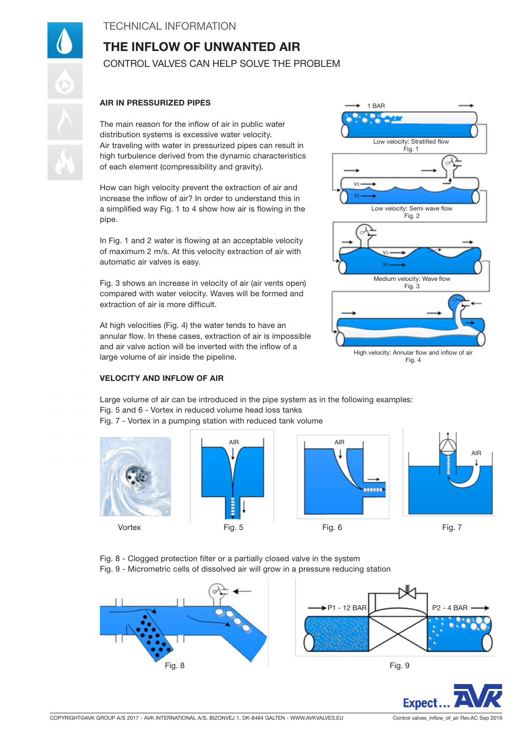## TECHNICAL INFORMATION

# THE INFLOW OF UNWANTED AIR CONTROL VALVES CAN HELP SOLVE THE PROBLEM

#### AIR IN PRESSURIZED PIPES

The main reason for the inflow of air in public water distribution systems is excessive water velocity. Air traveling with water in pressurized pipes can result in high turbulence derived from the dynamic characteristics of each element (compressibility and gravity).

How can high velocity prevent the extraction of air and increase the inflow of air? In order to understand this in a simplified way Fig. 1 to 4 show how air is flowing in the pipe.

In Fig. 1 and 2 water is flowing at an acceptable velocity of maximum 2 m/s. At this velocity extraction of air with automatic air valves is easy.

Fig. 3 shows an increase in velocity of air (air vents open) compared with water velocity. Waves will be formed and extraction of air is more difficult.

At high velocities (Fig. 4) the water tends to have an annular flow. In these cases, extraction of air is impossible and air valve action will be inverted with the inflow of a large volume of air inside the pipeline.



#### VELOCITY AND INFLOW OF AIR

Large volume of air can be introduced in the pipe system as in the following examples: Fig. 5 and 6 - Vortex in reduced volume head loss tanks Fig. 7 - Vortex in a pumping station with reduced tank volume







AIR

Fig. 8 - Clogged protection filter or a partially closed valve in the system Fig. 9 - Micrometric cells of dissolved air will grow in a pressure reducing station



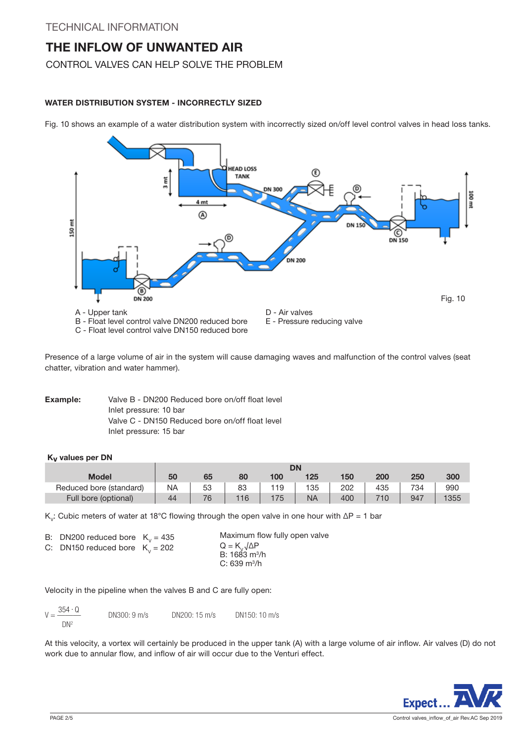CONTROL VALVES CAN HELP SOLVE THE PROBLEM

### WATER DISTRIBUTION SYSTEM - INCORRECTLY SIZED

Fig. 10 shows an example of a water distribution system with incorrectly sized on/off level control valves in head loss tanks.



Presence of a large volume of air in the system will cause damaging waves and malfunction of the control valves (seat chatter, vibration and water hammer).

Example: Valve B - DN200 Reduced bore on/off float level Inlet pressure: 10 bar Valve C - DN150 Reduced bore on/off float level Inlet pressure: 15 bar

#### Kv values per DN

|                         | <b>DN</b> |    |     |     |           |     |     |     |      |
|-------------------------|-----------|----|-----|-----|-----------|-----|-----|-----|------|
| Model                   | 50        | 65 | 80  | 100 | 125       | 150 | 200 | 250 | 300  |
| Reduced bore (standard) | <b>NA</b> | 53 | 83  | 119 | 135       | 202 | 435 | 734 | 990  |
| Full bore (optional)    | 44        | 76 | 116 | 175 | <b>NA</b> | 400 |     | 947 | 1355 |

K<sub>v</sub>: Cubic meters of water at 18°C flowing through the open valve in one hour with  $\Delta P = 1$  bar

|  | B: DN200 reduced bore $K_v = 435$ |  |
|--|-----------------------------------|--|
|--|-----------------------------------|--|

C: DN150 reduced bore  $K_v = 202$ 

Maximum flow fully open valve  $Q = K_{V} \sqrt{\Delta P}$ B: 1683 m<sup>3</sup>/h C: 639 m3 /h

Velocity in the pipeline when the valves B and C are fully open:

| 354 · Q<br>$V = \frac{30+16}{1}$ | DN300: 9 m/s | DN200: 15 m/s | DN150: 10 m/s |
|----------------------------------|--------------|---------------|---------------|
| $DN^2$                           |              |               |               |

At this velocity, a vortex will certainly be produced in the upper tank (A) with a large volume of air inflow. Air valves (D) do not work due to annular flow, and inflow of air will occur due to the Venturi effect.

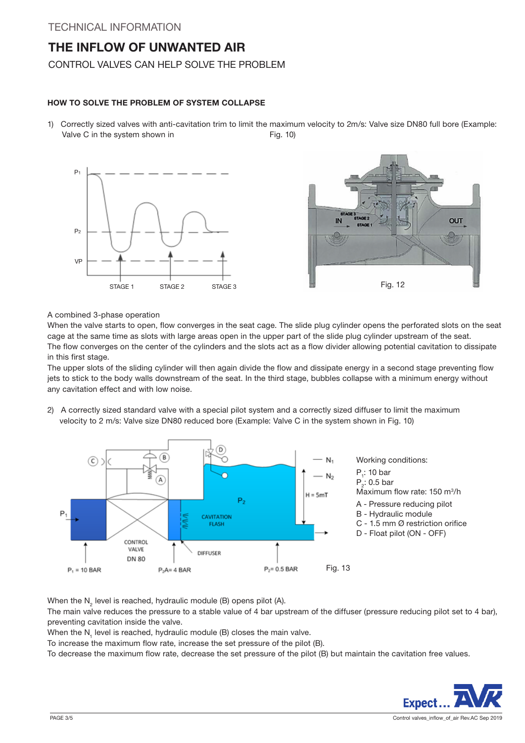## CONTROL VALVES CAN HELP SOLVE THE PROBLEM

#### HOW TO SOLVE THE PROBLEM OF SYSTEM COLLAPSE

1) Correctly sized valves with anti-cavitation trim to limit the maximum velocity to 2m/s: Valve size DN80 full bore (Example: Valve C in the system shown in Fig. 10)





#### A combined 3-phase operation

When the valve starts to open, flow converges in the seat cage. The slide plug cylinder opens the perforated slots on the seat cage at the same time as slots with large areas open in the upper part of the slide plug cylinder upstream of the seat. The flow converges on the center of the cylinders and the slots act as a flow divider allowing potential cavitation to dissipate in this first stage.

The upper slots of the sliding cylinder will then again divide the flow and dissipate energy in a second stage preventing flow jets to stick to the body walls downstream of the seat. In the third stage, bubbles collapse with a minimum energy without any cavitation effect and with low noise.

2) A correctly sized standard valve with a special pilot system and a correctly sized diffuser to limit the maximum velocity to 2 m/s: Valve size DN80 reduced bore (Example: Valve C in the system shown in Fig. 10)



When the N<sub>2</sub> level is reached, hydraulic module (B) opens pilot (A).

The main valve reduces the pressure to a stable value of 4 bar upstream of the diffuser (pressure reducing pilot set to 4 bar), preventing cavitation inside the valve.

When the  $N_1$  level is reached, hydraulic module (B) closes the main valve.

To increase the maximum flow rate, increase the set pressure of the pilot (B).

To decrease the maximum flow rate, decrease the set pressure of the pilot (B) but maintain the cavitation free values.

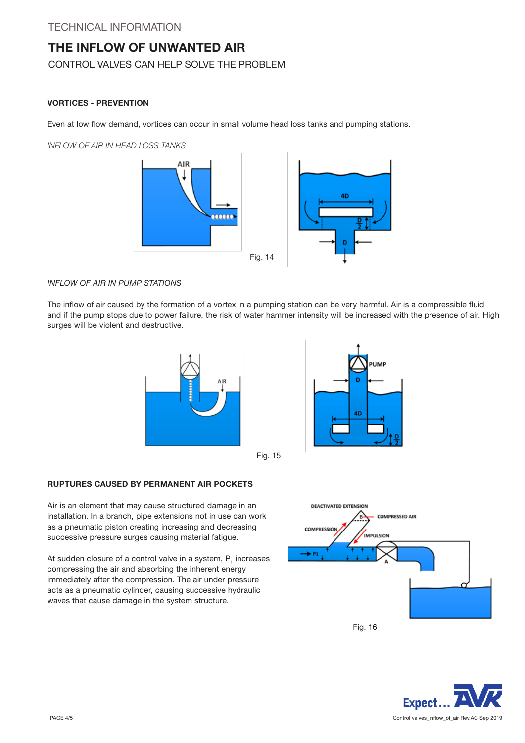## CONTROL VALVES CAN HELP SOLVE THE PROBLEM

#### VORTICES - PREVENTION

Even at low flow demand, vortices can occur in small volume head loss tanks and pumping stations.

INFLOW OF AIR IN HEAD LOSS TANKS



#### INFLOW OF AIR IN PUMP STATIONS

The inflow of air caused by the formation of a vortex in a pumping station can be very harmful. Air is a compressible fluid and if the pump stops due to power failure, the risk of water hammer intensity will be increased with the presence of air. High surges will be violent and destructive.





Fig. 15

#### RUPTURES CAUSED BY PERMANENT AIR POCKETS

Air is an element that may cause structured damage in an installation. In a branch, pipe extensions not in use can work as a pneumatic piston creating increasing and decreasing successive pressure surges causing material fatigue.

At sudden closure of a control valve in a system,  $P_1$  increases compressing the air and absorbing the inherent energy immediately after the compression. The air under pressure acts as a pneumatic cylinder, causing successive hydraulic waves that cause damage in the system structure.